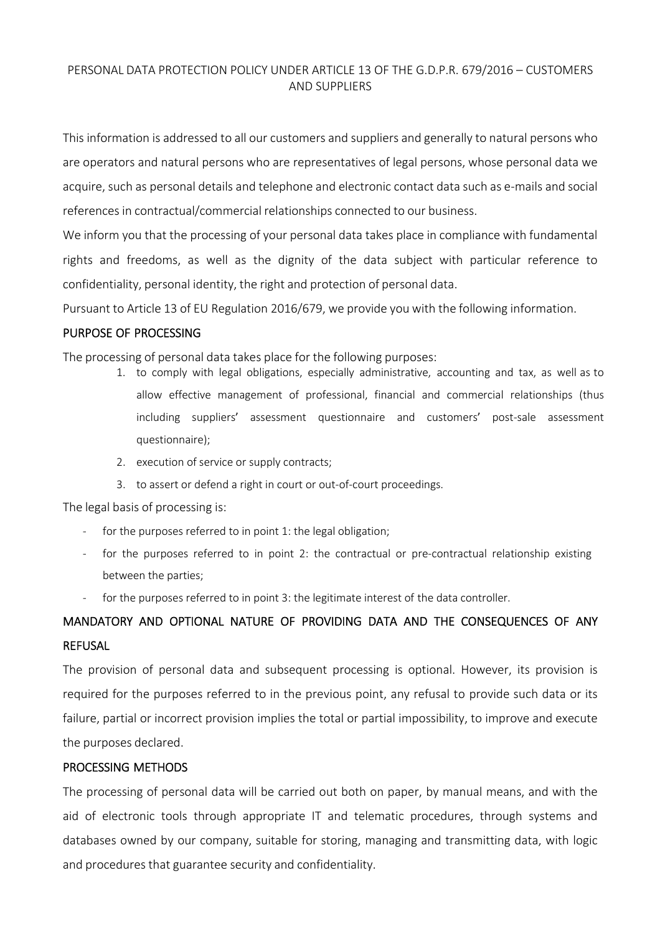#### PERSONAL DATA PROTECTION POLICY UNDER ARTICLE 13 OF THE G.D.P.R. 679/2016 – CUSTOMERS AND SUPPLIERS

This information is addressed to all our customers and suppliers and generally to natural persons who are operators and natural persons who are representatives of legal persons, whose personal data we acquire, such as personal details and telephone and electronic contact data such as e-mails and social references in contractual/commercial relationships connected to our business.

We inform you that the processing of your personal data takes place in compliance with fundamental rights and freedoms, as well as the dignity of the data subject with particular reference to confidentiality, personal identity, the right and protection of personal data.

Pursuant to Article 13 of EU Regulation 2016/679, we provide you with the following information.

#### PURPOSE OF PROCESSING

The processing of personal data takes place for the following purposes:

- 1. to comply with legal obligations, especially administrative, accounting and tax, as well as to allow effective management of professional, financial and commercial relationships (thus including suppliers' assessment questionnaire and customers' post-sale assessment questionnaire);
- 2. execution of service or supply contracts;
- 3. to assert or defend a right in court or out‐of‐court proceedings.

The legal basis of processing is:

- ‐ for the purposes referred to in point 1: the legal obligation;
- ‐ for the purposes referred to in point 2: the contractual or pre‐contractual relationship existing between the parties;
- for the purposes referred to in point 3: the legitimate interest of the data controller.

# MANDATORY AND OPTIONAL NATURE OF PROVIDING DATA AND THE CONSEQUENCES OF ANY REFUSAL

The provision of personal data and subsequent processing is optional. However, its provision is required for the purposes referred to in the previous point, any refusal to provide such data or its failure, partial or incorrect provision implies the total or partial impossibility, to improve and execute the purposes declared.

## PROCESSING METHODS

The processing of personal data will be carried out both on paper, by manual means, and with the aid of electronic tools through appropriate IT and telematic procedures, through systems and databases owned by our company, suitable for storing, managing and transmitting data, with logic and procedures that guarantee security and confidentiality.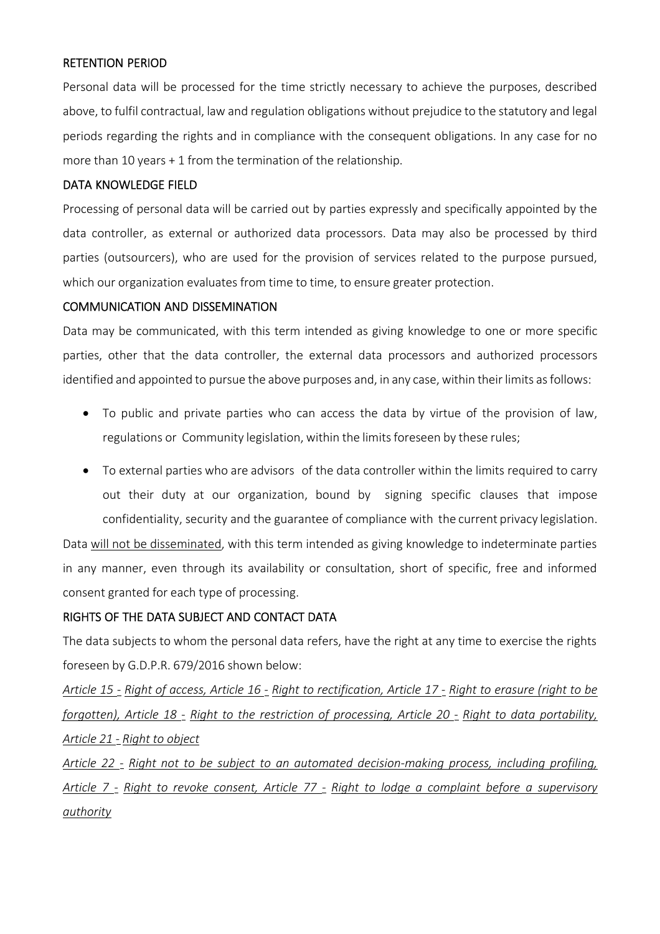## RETENTION PERIOD

Personal data will be processed for the time strictly necessary to achieve the purposes, described above, to fulfil contractual, law and regulation obligations without prejudice to the statutory and legal periods regarding the rights and in compliance with the consequent obligations. In any case for no more than 10 years + 1 from the termination of the relationship.

### DATA KNOWLEDGE FIELD

Processing of personal data will be carried out by parties expressly and specifically appointed by the data controller, as external or authorized data processors. Data may also be processed by third parties (outsourcers), who are used for the provision of services related to the purpose pursued, which our organization evaluates from time to time, to ensure greater protection.

#### COMMUNICATION AND DISSEMINATION

Data may be communicated, with this term intended as giving knowledge to one or more specific parties, other that the data controller, the external data processors and authorized processors identified and appointed to pursue the above purposes and, in any case, within their limits as follows:

- To public and private parties who can access the data by virtue of the provision of law, regulations or Community legislation, within the limits foreseen by these rules;
- To external parties who are advisors of the data controller within the limits required to carry out their duty at our organization, bound by signing specific clauses that impose confidentiality, security and the guarantee of compliance with the current privacy legislation.

Data will not be disseminated, with this term intended as giving knowledge to indeterminate parties in any manner, even through its availability or consultation, short of specific, free and informed consent granted for each type of processing.

## RIGHTS OF THE DATA SUBJECT AND CONTACT DATA

The data subjects to whom the personal data refers, have the right at any time to exercise the rights foreseen by G.D.P.R. 679/2016 shown below:

*Article 15 ‐ Right of access, Article 16 ‐ Right to rectification, Article 17 ‐ Right to erasure (right to be forgotten), Article 18 ‐ Right to the restriction of processing, Article 20 ‐ Right to data portability, Article 21 ‐ Right to object*

*Article 22 ‐ Right not to be subject to an automated decision‐making process, including profiling, Article 7 ‐ Right to revoke consent, Article 77 ‐ Right to lodge a complaint before a supervisory authority*